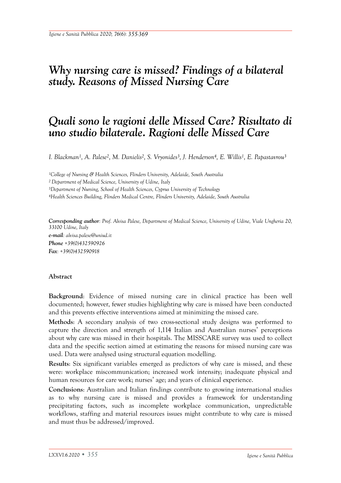# *Why nursing care is missed? Findings of a bilateral study. Reasons of Missed Nursing Care*

# *Quali sono le ragioni delle Missed Care? Risultato di uno studio bilaterale. Ragioni delle Missed Care*

*I. Blackman1, A. Palese2, M. Danielis2, S. Vryonides3, J. Henderson4, E. Willis1, E. Papastavrou3*

*1College of Nursing & Health Sciences, Flinders University, Adelaide, South Australia 2 Department of Medical Science, University of Udine, Italy 3Department of Nursing, School of Health Sciences, Cyprus University of Technology 4Health Sciences Building, Flinders Medical Centre, Flinders University, Adelaide, South Australia* 

*Corresponding author: Prof. Alvisa Palese, Department of Medical Science, University of Udine, Viale Ungheria 20, 33100 Udine, Italy e-mail: alvisa.palese@uniud.it Phone +39(0)432590926 Fax: +39(0)432590918*

#### **Abstract**

**Background**: Evidence of missed nursing care in clinical practice has been well documented; however, fewer studies highlighting why care is missed have been conducted and this prevents effective interventions aimed at minimizing the missed care.

**Methods**: A secondary analysis of two cross-sectional study designs was performed to capture the direction and strength of 1,114 Italian and Australian nurses' perceptions about why care was missed in their hospitals. The MISSCARE survey was used to collect data and the specific section aimed at estimating the reasons for missed nursing care was used. Data were analysed using structural equation modelling.

**Results**: Six significant variables emerged as predictors of why care is missed, and these were: workplace miscommunication; increased work intensity; inadequate physical and human resources for care work; nurses' age; and years of clinical experience.

**Conclusions**: Australian and Italian findings contribute to growing international studies as to why nursing care is missed and provides a framework for understanding precipitating factors, such as incomplete workplace communication, unpredictable workflows, staffing and material resources issues might contribute to why care is missed and must thus be addressed/improved.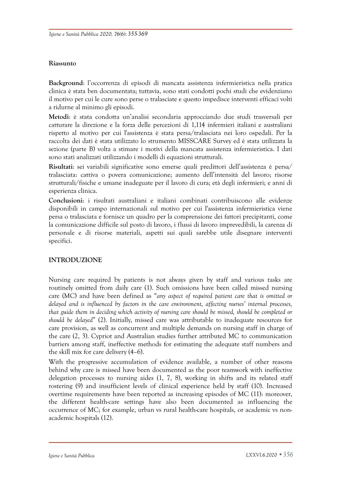## **Riassunto**

**Background**: l'occorrenza di episodi di mancata assistenza infermieristica nella pratica clinica è stata ben documentata; tuttavia, sono stati condotti pochi studi che evidenziano il motivo per cui le cure sono perse o tralasciate e questo impedisce interventi efficaci volti a ridurne al minimo gli episodi.

**Metodi**: è stata condotta un'analisi secondaria approcciando due studi trasversali per catturare la direzione e la forza delle percezioni di 1,114 infermieri italiani e australiani rispetto al motivo per cui l'assistenza è stata persa/tralasciata nei loro ospedali. Per la raccolta dei dati è stata utilizzato lo strumento MISSCARE Survey ed è stata utilizzata la sezione (parte B) volta a stimare i motivi della mancata assistenza infermieristica. I dati sono stati analizzati utilizzando i modelli di equazioni strutturali.

**Risultati**: sei variabili significative sono emerse quali predittori dell'assistenza è persa/ tralasciata: cattiva o povera comunicazione; aumento dell'intensità del lavoro; risorse strutturali/fisiche e umane inadeguate per il lavoro di cura; età degli infermieri; e anni di esperienza clinica.

**Conclusioni**: i risultati australiani e italiani combinati contribuiscono alle evidenze disponibili in campo internazionali sul motivo per cui l'assistenza infermieristica viene persa o tralasciata e fornisce un quadro per la comprensione dei fattori precipitanti, come la comunicazione difficile sul posto di lavoro, i flussi di lavoro imprevedibili, la carenza di personale e di risorse materiali, aspetti sui quali sarebbe utile disegnare interventi specifici.

# **INTRODUZIONE**

Nursing care required by patients is not always given by staff and various tasks are routinely omitted from daily care (1). Such omissions have been called missed nursing care (MC) and have been defined as "*any aspect of required patient care that is omitted or delayed and is influenced by factors in the care environment, affecting nurses' internal processes, that guide them in deciding which activity of nursing care should be missed, should be completed or should be delayed*" (2). Initially, missed care was attributable to inadequate resources for care provision, as well as concurrent and multiple demands on nursing staff in charge of the care (2, 3). Cypriot and Australian studies further attributed MC to communication barriers among staff, ineffective methods for estimating the adequate staff numbers and the skill mix for care delivery (4–6).

With the progressive accumulation of evidence available, a number of other reasons behind why care is missed have been documented as the poor teamwork with ineffective delegation processes to nursing aides (1, 7, 8), working in shifts and its related staff rostering (9) and insufficient levels of clinical experience held by staff (10). Increased overtime requirements have been reported as increasing episodes of MC (11): moreover, the different health-care settings have also been documented as influencing the occurrence of MC; for example, urban vs rural health-care hospitals, or academic vs nonacademic hospitals (12).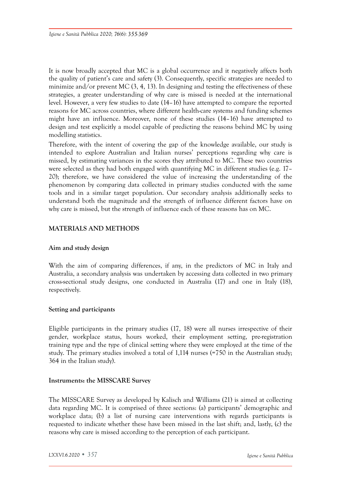It is now broadly accepted that MC is a global occurrence and it negatively affects both the quality of patient's care and safety (3). Consequently, specific strategies are needed to minimize and/or prevent MC  $(3, 4, 13)$ . In designing and testing the effectiveness of these strategies, a greater understanding of why care is missed is needed at the international level. However, a very few studies to date (14–16) have attempted to compare the reported reasons for MC across countries, where different health-care systems and funding schemes might have an influence. Moreover, none of these studies (14–16) have attempted to design and test explicitly a model capable of predicting the reasons behind MC by using modelling statistics.

Therefore, with the intent of covering the gap of the knowledge available, our study is intended to explore Australian and Italian nurses' perceptions regarding why care is missed, by estimating variances in the scores they attributed to MC. These two countries were selected as they had both engaged with quantifying MC in different studies (e.g. 17– 20); therefore, we have considered the value of increasing the understanding of the phenomenon by comparing data collected in primary studies conducted with the same tools and in a similar target population. Our secondary analysis additionally seeks to understand both the magnitude and the strength of influence different factors have on why care is missed, but the strength of influence each of these reasons has on MC.

# **MATERIALS AND METHODS**

#### **Aim and study design**

With the aim of comparing differences, if any, in the predictors of MC in Italy and Australia, a secondary analysis was undertaken by accessing data collected in two primary cross-sectional study designs, one conducted in Australia (17) and one in Italy (18), respectively.

#### **Setting and participants**

Eligible participants in the primary studies (17, 18) were all nurses irrespective of their gender, workplace status, hours worked, their employment setting, pre-registration training type and the type of clinical setting where they were employed at the time of the study. The primary studies involved a total of 1,114 nurses (=750 in the Australian study; 364 in the Italian study).

## **Instruments: the MISSCARE Survey**

The MISSCARE Survey as developed by Kalisch and Williams (21) is aimed at collecting data regarding MC. It is comprised of three sections: (a) participants' demographic and workplace data; (b) a list of nursing care interventions with regards participants is requested to indicate whether these have been missed in the last shift; and, lastly, (c) the reasons why care is missed according to the perception of each participant.

 *LXXVI.6.2020 • 357 Igiene e Sanità Pubblica*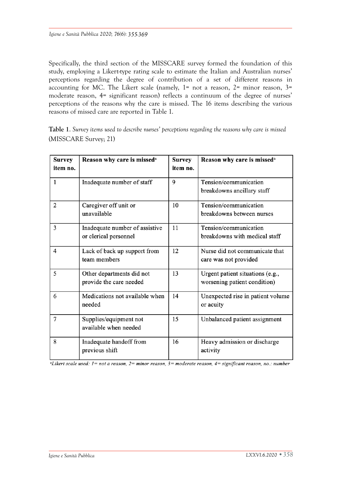Specifically, the third section of the MISSCARE survey formed the foundation of this study, employing a Likert-type rating scale to estimate the Italian and Australian nurses' perceptions regarding the degree of contribution of a set of different reasons in accounting for MC. The Likert scale (namely,  $1=$  not a reason,  $2=$  minor reason,  $3=$ moderate reason, 4= significant reason) reflects a continuum of the degree of nurses' perceptions of the reasons why the care is missed. The 16 items describing the various reasons of missed care are reported in Table 1.

**Table 1**. *Survey items used to describe nurses' perceptions regarding the reasons why care is missed*  (MISSCARE Survey; 21)

| <b>Survey</b><br>item no. | Reason why care is missed <sup>a</sup>                        | <b>Survey</b><br>item no. | Reason why care is missed <sup>a</sup>                           |  |  |
|---------------------------|---------------------------------------------------------------|---------------------------|------------------------------------------------------------------|--|--|
| $\mathbf{1}$              | Inadequate number of staff                                    | 9                         | Tension/communication<br>breakdowns ancillary staff              |  |  |
| 2                         | Caregiver off unit or<br>10<br>unavailable                    |                           | Tension/communication<br>breakdowns between nurses               |  |  |
| 3                         | 11<br>Inadequate number of assistive<br>or clerical personnel |                           | Tension/communication<br>breakdowns with medical staff           |  |  |
| 4                         | Lack of back up support from<br>team members                  | 12                        | Nurse did not communicate that<br>care was not provided          |  |  |
| 5                         | Other departments did not<br>provide the care needed          | 13                        | Urgent patient situations (e.g.,<br>worsening patient condition) |  |  |
| 6                         | Medications not available when<br>needed                      | 14                        | Unexpected rise in patient volume<br>or acuity                   |  |  |
| 7                         | Supplies/equipment not<br>available when needed               | 15                        | Unbalanced patient assignment                                    |  |  |
| 8                         | Inadequate handoff from<br>previous shift                     | 16                        | Heavy admission or discharge<br>activity                         |  |  |

<sup>a</sup>Likert scale used:  $l = not$  a reason,  $2 = minor$  reason,  $3 = moderate$  reason,  $4 = significant$  reason, no.: number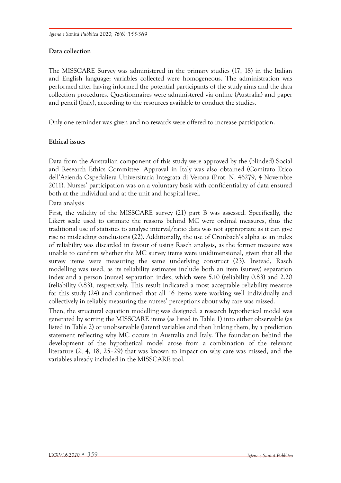# **Data collection**

The MISSCARE Survey was administered in the primary studies (17, 18) in the Italian and English language; variables collected were homogeneous. The administration was performed after having informed the potential participants of the study aims and the data collection procedures. Questionnaires were administered via online (Australia) and paper and pencil (Italy), according to the resources available to conduct the studies.

Only one reminder was given and no rewards were offered to increase participation.

# **Ethical issues**

Data from the Australian component of this study were approved by the (blinded) Social and Research Ethics Committee. Approval in Italy was also obtained (Comitato Etico dell'Azienda Ospedaliera Universitaria Integrata di Verona (Prot. N. 46279, 4 Novembre 2011). Nurses' participation was on a voluntary basis with confidentiality of data ensured both at the individual and at the unit and hospital level.

Data analysis

First, the validity of the MISSCARE survey (21) part B was assessed. Specifically, the Likert scale used to estimate the reasons behind MC were ordinal measures, thus the traditional use of statistics to analyse interval/ratio data was not appropriate as it can give rise to misleading conclusions (22). Additionally, the use of Cronbach's alpha as an index of reliability was discarded in favour of using Rasch analysis, as the former measure was unable to confirm whether the MC survey items were unidimensional, given that all the survey items were measuring the same underlying construct (23). Instead, Rasch modelling was used, as its reliability estimates include both an item (survey) separation index and a person (nurse) separation index, which were 5.10 (reliability 0.83) and 2.20 (reliability 0.83), respectively. This result indicated a most acceptable reliability measure for this study (24) and confirmed that all 16 items were working well individually and collectively in reliably measuring the nurses' perceptions about why care was missed.

Then, the structural equation modelling was designed: a research hypothetical model was generated by sorting the MISSCARE items (as listed in Table 1) into either observable (as listed in Table 2) or unobservable (latent) variables and then linking them, by a prediction statement reflecting why MC occurs in Australia and Italy. The foundation behind the development of the hypothetical model arose from a combination of the relevant literature (2, 4, 18, 25–29) that was known to impact on why care was missed, and the variables already included in the MISSCARE tool.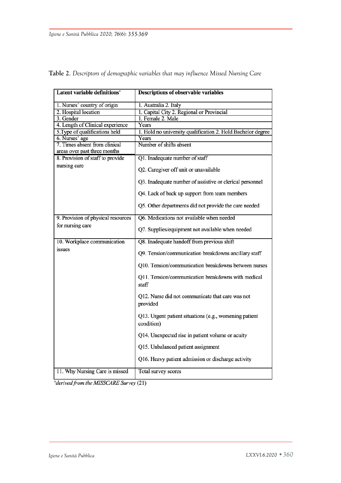| Latent variable definitions <sup>a</sup> | <b>Descriptions of observable variables</b>                           |  |  |  |
|------------------------------------------|-----------------------------------------------------------------------|--|--|--|
| 1. Nurses' country of origin             | 1. Australia 2. Italy                                                 |  |  |  |
| 2. Hospital location                     | 1. Capital City 2. Regional or Provincial                             |  |  |  |
| 3. Gender                                | 1. Female 2. Male                                                     |  |  |  |
| 4. Length of Clinical experience         | Years                                                                 |  |  |  |
| 5. Type of qualifications held           | 1. Hold no university qualification 2. Hold Bachelor degree           |  |  |  |
| 6. Nurses' age                           | Years                                                                 |  |  |  |
| 7. Times absent from clinical            | Number of shifts absent                                               |  |  |  |
| areas over past three months             |                                                                       |  |  |  |
| 8. Provision of staff to provide         | Q1. Inadequate number of staff                                        |  |  |  |
| nursing care                             | Q2. Caregiver off unit or unavailable                                 |  |  |  |
|                                          | Q3. Inadequate number of assistive or clerical personnel              |  |  |  |
|                                          | Q4. Lack of back up support from team members                         |  |  |  |
|                                          | Q5. Other departments did not provide the care needed                 |  |  |  |
| 9. Provision of physical resources       | Q6. Medications not available when needed                             |  |  |  |
| for nursing care                         | Q7. Supplies/equipment not available when needed                      |  |  |  |
| 10. Workplace communication              | Q8. Inadequate handoff from previous shift                            |  |  |  |
| issues                                   | Q9. Tension/communication breakdowns ancillary staff                  |  |  |  |
|                                          | Q10. Tension/communication breakdowns between nurses                  |  |  |  |
|                                          | Q11. Tension/communication breakdowns with medical<br>staff           |  |  |  |
|                                          | Q12. Nurse did not communicate that care was not<br>provided          |  |  |  |
|                                          | Q13. Urgent patient situations (e.g., worsening patient<br>condition) |  |  |  |
|                                          | Q14. Unexpected rise in patient volume or acuity                      |  |  |  |
|                                          | Q15. Unbalanced patient assignment                                    |  |  |  |
|                                          | Q16. Heavy patient admission or discharge activity                    |  |  |  |
| 11. Why Nursing Care is missed           | Total survey scores                                                   |  |  |  |

**Table 2**. *Descriptors of demographic variables that may influence Missed Nursing Care*

<sup>a</sup>derived from the MISSCARE Survey (21)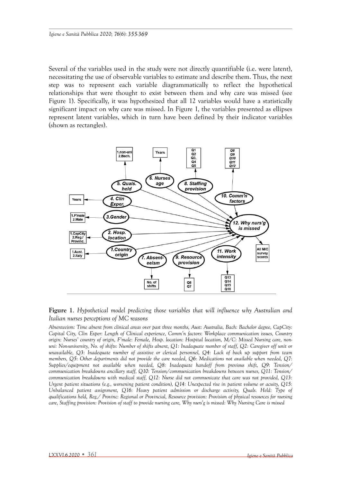Several of the variables used in the study were not directly quantifiable (i.e. were latent), necessitating the use of observable variables to estimate and describe them. Thus, the next step was to represent each variable diagrammatically to reflect the hypothetical relationships that were thought to exist between them and why care was missed (see Figure 1). Specifically, it was hypothesized that all 12 variables would have a statistically significant impact on why care was missed. In Figure 1, the variables presented as ellipses represent latent variables, which in turn have been defined by their indicator variables (shown as rectangles).



**Figure 1**. *Hypothetical model predicting those variables that will influence why Australian and Italian nurses perceptions of MC reasons* 

*Absenteeism: Time absent from clinical areas over past three months, Aust: Australia, Bach: Bachelor degree, CapCity: Capital City, Clin Exper: Length of Clinical experience, Comm'n factors: Workplace communication issues, Country origin: Nurses' country of origin, F'male: Female, Hosp. location: Hospital location, M/C: Missed Nursing care, nonuni: Non-university, No. of shifts: Number of shifts absent, Q1: Inadequate number of staff, Q2: Caregiver off unit or unavailable, Q3: Inadequate number of assistive or clerical personnel, Q4: Lack of back up support from team members, Q5: Other departments did not provide the care needed, Q6: Medications not available when needed, Q7: Supplies/equipment not available when needed, Q8: Inadequate handoff from previous shift, Q9: Tension/ communication breakdowns ancillary staff, Q10: Tension/communication breakdowns between nurses, Q11: Tension/ communication breakdowns with medical staff, Q12: Nurse did not communicate that care was not provided, Q13: Urgent patient situations (e.g., worsening patient condition), Q14: Unexpected rise in patient volume or acuity, Q15: Unbalanced patient assignment, Q16: Heavy patient admission or discharge activity, Quals. Held: Type of qualifications held, Reg./ Provinc: Regional or Provincial, Resource provision: Provision of physical resources for nursing care, Staffing provision: Provision of staff to provide nursing care, Why nurs'g is missed: Why Nursing Care is missed*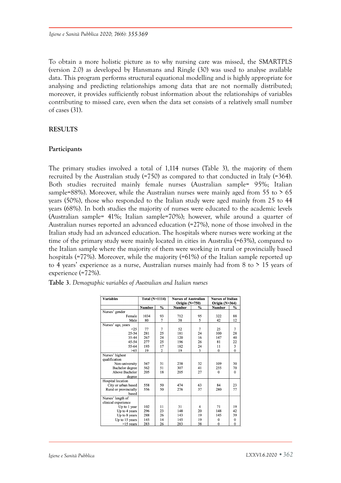To obtain a more holistic picture as to why nursing care was missed, the SMARTPLS (version 2.0) as developed by Hansmans and Ringle (30) was used to analyse available data. This program performs structural equational modelling and is highly appropriate for analysing and predicting relationships among data that are not normally distributed; moreover, it provides sufficiently robust information about the relationships of variables contributing to missed care, even when the data set consists of a relatively small number of cases (31).

## **RESULTS**

#### **Participants**

The primary studies involved a total of 1,114 nurses (Table 3), the majority of them recruited by the Australian study (=750) as compared to that conducted in Italy (=364). Both studies recruited mainly female nurses (Australian sample= 95%; Italian sample=88%). Moreover, while the Australian nurses were mainly aged from 55 to  $> 65$ years (50%), those who responded to the Italian study were aged mainly from 25 to 44 years (68%). In both studies the majority of nurses were educated to the academic levels (Australian sample= 41%; Italian sample=70%); however, while around a quarter of Australian nurses reported an advanced education (=27%), none of those involved in the Italian study had an advanced education. The hospitals where nurses were working at the time of the primary study were mainly located in cities in Australia (=63%), compared to the Italian sample where the majority of them were working in rural or provincially based hospitals (=77%). Moreover, while the majority (=61%) of the Italian sample reported up to 4 years' experience as a nurse, Australian nurses mainly had from 8 to > 15 years of experience (=72%).

| <b>Variables</b>      | <b>Total (N=1114)</b> |                | <b>Nurses of Australian</b><br>Origin $(N=750)$ |               | <b>Nurses of Italian</b><br>Origin $(N=364)$ |               |
|-----------------------|-----------------------|----------------|-------------------------------------------------|---------------|----------------------------------------------|---------------|
|                       | <b>Number</b>         | $\frac{0}{0}$  | <b>Number</b>                                   | $\frac{0}{0}$ | <b>Number</b>                                | $\frac{0}{0}$ |
| Nurses' gender        |                       |                |                                                 |               |                                              |               |
| Female                | 1034                  | 93             | 712                                             | 95            | 322                                          | 88            |
| Male                  | 80                    | $\overline{7}$ | 38                                              | 5             | 42                                           | 12            |
| Nurses' age, years    |                       |                |                                                 |               |                                              |               |
| <25                   | 77                    | 7              | 52                                              | 7             | 25                                           | 7             |
| $25 - 34$             | 281                   | 25             | 181                                             | 24            | 100                                          | 28            |
|                       |                       |                |                                                 |               |                                              |               |
| 35-44                 | 267                   | 24             | 120                                             | 16            | 147                                          | 40            |
| 45-54                 | 277                   | 25             | 196                                             | 26            | 81                                           | 22            |
| 55-64                 | 193                   | 17             | 182                                             | 24            | 11                                           | 3             |
| >65                   | 19                    | $\overline{c}$ | 19                                              | 3             | $\mathbf{0}$                                 | $\theta$      |
| Nurses' highest       |                       |                |                                                 |               |                                              |               |
| qualification         |                       |                |                                                 |               |                                              |               |
| Non-university        | 347                   | 31             | 238                                             | 32            | 109                                          | 30            |
| Bachelor degree       | 562                   | 51             | 307                                             | 41            | 255                                          | 70            |
| Above Bachelor        | 205                   | 18             | 205                                             | 27            | $\mathbf{0}$                                 | $\theta$      |
| degree                |                       |                |                                                 |               |                                              |               |
| Hospital location     |                       |                |                                                 |               |                                              |               |
| City or urban based   | 558                   | 50             | 474                                             | 63            | 84                                           | 23            |
| Rural or provincially | 556                   | 50             | 276                                             | 37            | 280                                          | 77            |
| based                 |                       |                |                                                 |               |                                              |               |
| Nurses' length of     |                       |                |                                                 |               |                                              |               |
| clinical experience   |                       |                |                                                 |               |                                              |               |
| Up to 1 year          | 102                   | 11             | 31                                              | 4             | 71                                           | 19            |
| Up to 4 years         | 296                   | 23             | 148                                             | 20            | 148                                          | 42            |
| Up to 8 years         | 288                   | 26             | 143                                             | 19            | 145                                          | 39            |
| Up to 15 years        | 145                   | 14             | 145                                             | 19            | $\mathbf{0}$                                 | $\mathbf{0}$  |
| $>15$ years           | 283                   | 26             | 283                                             | 38            | $\bf{0}$                                     | $\bf{0}$      |

|  | Table 3. Demographic variables of Australian and Italian nurses |
|--|-----------------------------------------------------------------|
|--|-----------------------------------------------------------------|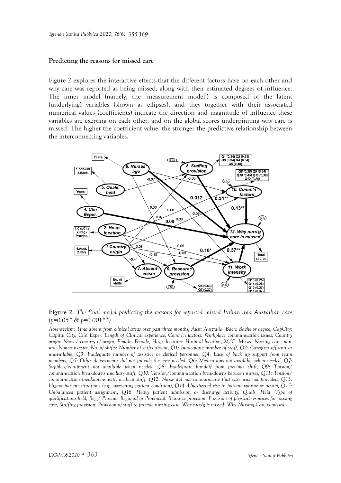#### **Predicting the reasons for missed care**

Figure 2 explores the interactive effects that the different factors have on each other and why care was reported as being missed, along with their estimated degrees of influence. The inner model (namely, the 'measurement model') is composed of the latent (underlying) variables (shown as ellipses), and they together with their associated numerical values (coefficients) indicate the direction and magnitude of influence these variables are exerting on each other, and on the global scores underpinning why care is missed. The higher the coefficient value, the stronger the predictive relationship between the interconnecting variables.



**Figure 2**. *The final model predicting the reasons for reported missed Italian and Australian care*   $(b=0.05 * \& b=0.001**)$ 

*Absenteeism: Time absent from clinical areas over past three months, Aust: Australia, Bach: Bachelor degree, CapCity: Capital City, Clin Exper: Length of Clinical experience, Comm'n factors: Workplace communication issues, Country origin: Nurses' country of origin, F'male: Female, Hosp. location: Hospital location, M/C: Missed Nursing care, nonuni: Non-university, No. of shifts: Number of shifts absent, Q1: Inadequate number of staff, Q2: Caregiver off unit or unavailable, Q3: Inadequate number of assistive or clerical personnel, Q4: Lack of back up support from team members, Q5: Other departments did not provide the care needed, Q6: Medications not available when needed, Q7: Supplies/equipment not available when needed, Q8: Inadequate handoff from previous shift, Q9: Tension/ communication breakdowns ancillary staff, Q10: Tension/communication breakdowns between nurses, Q11: Tension/ communication breakdowns with medical staff, Q12: Nurse did not communicate that care was not provided, Q13: Urgent patient situations (e.g., worsening patient condition), Q14: Unexpected rise in patient volume or acuity, Q15: Unbalanced patient assignment, Q16: Heavy patient admission or discharge activity, Quals. Held: Type of qualifications held, Reg./ Provinc: Regional or Provincial, Resource provision: Provision of physical resources for nursing*  care, Staffing provision: Provision of staff to provide nursing care, Why nurs'g is missed: Why Nursing Care is missed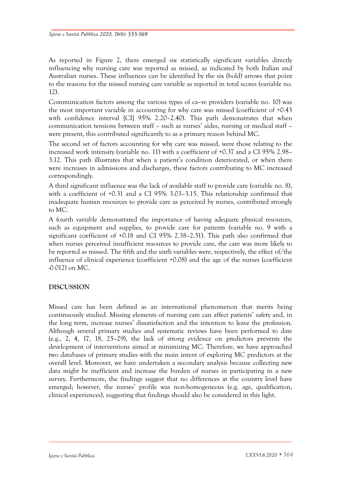As reported in Figure 2, there emerged six statistically significant variables directly influencing why nursing care was reported as missed, as indicated by both Italian and Australian nurses. These influences can be identified by the six (bold) arrows that point to the reasons for the missed nursing care variable as reported in total scores (variable no. 12).

Communication factors among the various types of ca–re providers (variable no. 10) was the most important variable in accounting for why care was missed (coefficient of +0.43 with confidence interval [CI] 95% 2.20–2.40). This path demonstrates that when communication tensions between staff – such as nurses' aides, nursing or medical staff – were present, this contributed significantly to as a primary reason behind MC.

The second set of factors accounting for why care was missed, were those relating to the increased work intensity (variable no. 11) with a coefficient of +0.37 and a CI 95% 2.98– 3.12. This path illustrates that when a patient's condition deteriorated, or when there were increases in admissions and discharges, these factors contributing to MC increased correspondingly.

A third significant influence was the lack of available staff to provide care (variable no. 8), with a coefficient of +0.31 and a CI 95% 3.03–3.15. This relationship confirmed that inadequate human resources to provide care as perceived by nurses, contributed strongly to MC.

A fourth variable demonstrated the importance of having adequate physical resources, such as equipment and supplies, to provide care for patients (variable no. 9 with a significant coefficient of +0.18 and CI 95% 2.38–2.51). This path also confirmed that when nurses perceived insufficient resources to provide care, the care was more likely to be reported as missed. The fifth and the sixth variables were, respectively, the effect of/the influence of clinical experience (coefficient +0.08) and the age of the nurses (coefficient -0.012) on MC.

# **DISCUSSION**

Missed care has been defined as an international phenomenon that merits being continuously studied. Missing elements of nursing care can affect patients' safety and, in the long term, increase nurses' dissatisfaction and the intention to leave the profession. Although several primary studies and systematic reviews have been performed to date (e.g., 2, 4, 17, 18, 25–29), the lack of strong evidence on predictors prevents the development of interventions aimed at minimizing MC. Therefore, we have approached two databases of primary studies with the main intent of exploring MC predictors at the overall level. Moreover, we have undertaken a secondary analysis because collecting new data might be inefficient and increase the burden of nurses in participating in a new survey. Furthermore, the findings suggest that no differences at the country level have emerged; however, the nurses' profile was non-homogeneous (e.g. age, qualification, clinical experiences), suggesting that findings should also be considered in this light.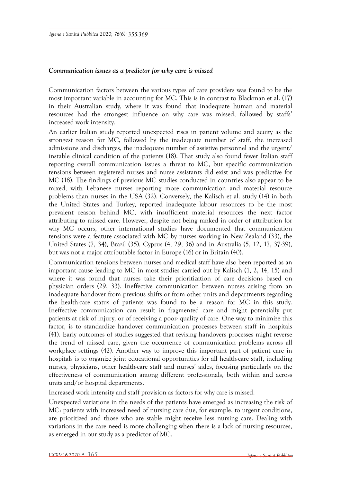# *Communication issues as a predictor for why care is missed*

Communication factors between the various types of care providers was found to be the most important variable in accounting for MC. This is in contrast to Blackman et al. (17) in their Australian study, where it was found that inadequate human and material resources had the strongest influence on why care was missed, followed by staffs' increased work intensity.

An earlier Italian study reported unexpected rises in patient volume and acuity as the strongest reason for MC, followed by the inadequate number of staff, the increased admissions and discharges, the inadequate number of assistive personnel and the urgent/ instable clinical condition of the patients (18). That study also found fewer Italian staff reporting overall communication issues a threat to MC, but specific communication tensions between registered nurses and nurse assistants did exist and was predictive for MC (18). The findings of previous MC studies conducted in countries also appear to be mixed, with Lebanese nurses reporting more communication and material resource problems than nurses in the USA (32). Conversely, the Kalisch et al. study (14) in both the United States and Turkey, reported inadequate labour resources to be the most prevalent reason behind MC, with insufficient material resources the next factor attributing to missed care. However, despite not being ranked in order of attribution for why MC occurs, other international studies have documented that communication tensions were a feature associated with MC by nurses working in New Zealand (33), the United States (7, 34), Brazil (35), Cyprus (4, 29, 36) and in Australia (5, 12, 17, 37-39), but was not a major attributable factor in Europe (16) or in Britain (40).

Communication tensions between nurses and medical staff have also been reported as an important cause leading to MC in most studies carried out by Kalisch (1, 2, 14, 15) and where it was found that nurses take their prioritization of care decisions based on physician orders (29, 33). Ineffective communication between nurses arising from an inadequate handover from previous shifts or from other units and departments regarding the health-care status of patients was found to be a reason for MC in this study. Ineffective communication can result in fragmented care and might potentially put patients at risk of injury, or of receiving a poor- quality of care. One way to minimize this factor, is to standardize handover communication processes between staff in hospitals (41). Early outcomes of studies suggested that revising handovers processes might reverse the trend of missed care, given the occurrence of communication problems across all workplace settings (42). Another way to improve this important part of patient care in hospitals is to organize joint educational opportunities for all health-care staff, including nurses, physicians, other health-care staff and nurses' aides, focusing particularly on the effectiveness of communication among different professionals, both within and across units and/or hospital departments.

Increased work intensity and staff provision as factors for why care is missed.

Unexpected variations in the needs of the patients have emerged as increasing the risk of MC: patients with increased need of nursing care due, for example, to urgent conditions, are prioritized and those who are stable might receive less nursing care. Dealing with variations in the care need is more challenging when there is a lack of nursing resources, as emerged in our study as a predictor of MC.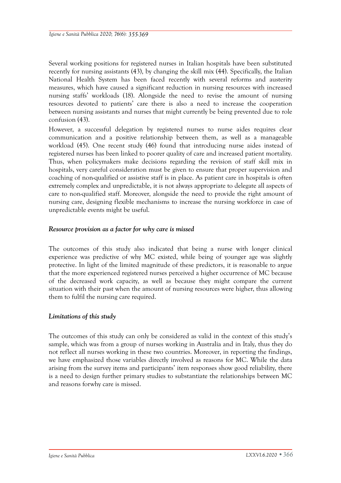Several working positions for registered nurses in Italian hospitals have been substituted recently for nursing assistants (43), by changing the skill mix (44). Specifically, the Italian National Health System has been faced recently with several reforms and austerity measures, which have caused a significant reduction in nursing resources with increased nursing staffs' workloads (18). Alongside the need to revise the amount of nursing resources devoted to patients' care there is also a need to increase the cooperation between nursing assistants and nurses that might currently be being prevented due to role confusion (43).

However, a successful delegation by registered nurses to nurse aides requires clear communication and a positive relationship between them, as well as a manageable workload (45). One recent study (46) found that introducing nurse aides instead of registered nurses has been linked to poorer quality of care and increased patient mortality. Thus, when policymakers make decisions regarding the revision of staff skill mix in hospitals, very careful consideration must be given to ensure that proper supervision and coaching of non-qualified or assistive staff is in place. As patient care in hospitals is often extremely complex and unpredictable, it is not always appropriate to delegate all aspects of care to non-qualified staff. Moreover, alongside the need to provide the right amount of nursing care, designing flexible mechanisms to increase the nursing workforce in case of unpredictable events might be useful.

#### *Resource provision as a factor for why care is missed*

The outcomes of this study also indicated that being a nurse with longer clinical experience was predictive of why MC existed, while being of younger age was slightly protective. In light of the limited magnitude of these predictors, it is reasonable to argue that the more experienced registered nurses perceived a higher occurrence of MC because of the decreased work capacity, as well as because they might compare the current situation with their past when the amount of nursing resources were higher, thus allowing them to fulfil the nursing care required.

#### *Limitations of this study*

The outcomes of this study can only be considered as valid in the context of this study's sample, which was from a group of nurses working in Australia and in Italy, thus they do not reflect all nurses working in these two countries. Moreover, in reporting the findings, we have emphasized those variables directly involved as reasons for MC. While the data arising from the survey items and participants' item responses show good reliability, there is a need to design further primary studies to substantiate the relationships between MC and reasons forwhy care is missed.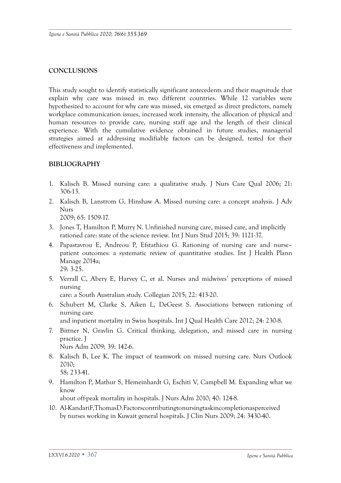# **CONCLUSIONS**

This study sought to identify statistically significant antecedents and their magnitude that explain why care was missed in two different countries. While 12 variables were hypothesized to account for why care was missed, six emerged as direct predictors, namely workplace communication issues, increased work intensity, the allocation of physical and human resources to provide care, nursing staff age and the length of their clinical experience. With the cumulative evidence obtained in future studies, managerial strategies aimed at addressing modifiable factors can be designed, tested for their effectiveness and implemented.

# **BIBLIOGRAPHY**

- 1. Kalisch B. Missed nursing care: a qualitative study. J Nurs Care Qual 2006; 21: 306-13.
- 2. Kalisch B, Lanstrom G, Hinshaw A. Missed nursing care: a concept analysis. J Adv Nurs 2009; 65: 1509-17.
- 3. Jones T, Hamilton P, Murry N. Unfinished nursing care, missed care, and implicitly rationed care: state of the science review. Int J Nurs Stud 2015; 39: 1121-37.
- 4. Papastavrou E, Andreou P, Efstathiou G. Rationing of nursing care and nurse– patient outcomes: a systematic review of quantitative studies. Int J Health Plann Manage 2014a; 29: 3-25.
- 5. Verrall C, Abery E, Harvey C, et al. Nurses and midwives' perceptions of missed nursing

care: a South Australian study. Collegian 2015; 22: 413-20.

6. Schubert M, Clarke S, Aiken L, DeGeest S. Associations between rationing of nursing care

and inpatient mortality in Swiss hospitals. Int J Qual Health Care 2012; 24: 230-8.

- 7. Bittner N, Gravlin G. Critical thinking, delegation, and missed care in nursing practice. J
	- Nurs Adm 2009; 39: 142-6.
- 8. Kalisch B, Lee K. The impact of teamwork on missed nursing care. Nurs Outlook 2010; 58: 233-41.
- 9. Hamilton P, Mathur S, Hemeinhardt G, Eschiti V, Campbell M. Expanding what we know

about off-peak mortality in hospitals. J Nurs Adm 2010; 40: 124-8.

10. Al-KandariF,ThomasD.Factorscontributingtonursingtaskincompletionasperceived by nurses working in Kuwait general hospitals. J Clin Nurs 2009; 24: 3430-40.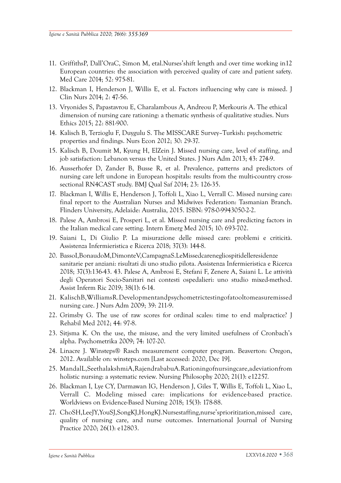- 11. GriffithsP, Dall'OraC, Simon M, etal.Nurses'shift length and over time working in12 European countries: the association with perceived quality of care and patient safety. Med Care 2014; 52: 975-81.
- 12. Blackman I, Henderson J, Willis E, et al. Factors influencing why care is missed. J Clin Nurs 2014; 2: 47-56.
- 13. Vryonides S, Papastavrou E, Charalambous A, Andreou P, Merkouris A. The ethical dimension of nursing care rationing: a thematic synthesis of qualitative studies. Nurs Ethics 2015; 22: 881-900.
- 14. Kalisch B, Terzioglu F, Duygulu S. The MISSCARE Survey–Turkish: psychometric properties and findings. Nurs Econ 2012; 30: 29-37.
- 15. Kalisch B, Doumit M, Kyung H, ElZein J. Missed nursing care, level of staffing, and job satisfaction: Lebanon versus the United States. J Nurs Adm 2013; 43: 274-9.
- 16. Ausserhofer D, Zander B, Busse R, et al. Prevalence, patterns and predictors of nursing care left undone in European hospitals: results from the multi-country crosssectional RN4CAST study. BMJ Qual Saf 2014; 23: 126-35.
- 17. Blackman I, Willis E, Henderson J, Toffoli L, Xiao L, Verrall C. Missed nursing care: final report to the Australian Nurses and Midwives Federation: Tasmanian Branch. Flinders University, Adelaide: Australia, 2015. ISBN: 978-0-9943050-2-2.
- 18. Palese A, Ambrosi E, Prosperi L, et al. Missed nursing care and predicting factors in the Italian medical care setting. Intern Emerg Med 2015; 10: 693-702.
- 19. Saiani L, Di Giulio P. La misurazione delle missed care: problemi e criticità. Assistenza Infermieristica e Ricerca 2018; 37(3): 144-8.
- 20. BassoI,BonaudoM,DimonteV,CampagnaS.LeMissedcarenegliospitidelleresidenze sanitarie per anziani: risultati di uno studio pilota. Assistenza Infermieristica e Ricerca 2018; 37(3):136-43. 43. Palese A, Ambrosi E, Stefani F, Zenere A, Saiani L. Le attività degli Operatori Socio-Sanitari nei contesti ospedalieri: uno studio mixed-method. Assist Inferm Ric 2019; 38(1): 6-14.
- 21. KalischB,WilliamsR.Developmentandpsychometrictestingofatooltomeasuremissed nursing care. J Nurs Adm 2009; 39: 211-9.
- 22. Grimsby G. The use of raw scores for ordinal scales: time to end malpractice? J Rehabil Med 2012; 44: 97-8.
- 23. Sitjsma K. On the use, the misuse, and the very limited usefulness of Cronbach's alpha. Psychometrika 2009; 74: 107-20.
- 24. Linacre J. Winsteps® Rasch measurement computer program. Beaverton: Oregon, 2012. Available on: winsteps.com [Last accessed: 2020, Dec 19].
- 25. MandalL,SeethalakshmiA,RajendrababuA.Rationingofnursingcare,adeviationfrom holistic nursing: a systematic review. Nursing Philosophy 2020; 21(1): e12257.
- 26. Blackman I, Lye CY, Darmawan IG, Henderson J, Giles T, Willis E, Toffoli L, Xiao L, Verrall C. Modeling missed care: implications for evidence-based practice. Worldviews on Evidence-Based Nursing 2018; 15(3): 178-88.
- 27. ChoSH,LeeJY,YouSJ,SongKJ,HongKJ.Nursestaffing,nurse'sprioritization,missed care, quality of nursing care, and nurse outcomes. International Journal of Nursing Practice 2020; 26(1): e12803.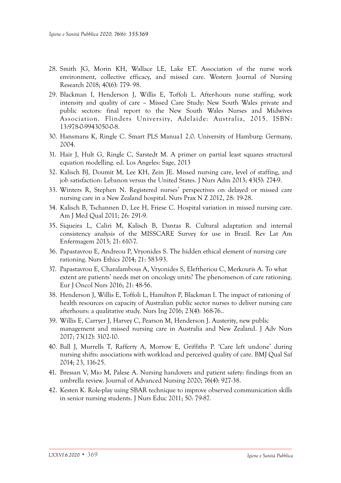- 28. Smith JG, Morin KH, Wallace LE, Lake ET. Association of the nurse work environment, collective efficacy, and missed care. Western Journal of Nursing Research 2018; 40(6): 779- 98.
- 29. Blackman I, Henderson J, Willis E, Toffoli L. After-hours nurse staffing, work intensity and quality of care – Missed Care Study: New South Wales private and public sectors: final report to the New South Wales Nurses and Midwives Association. Flinders University, Adelaide: Australia, 2015. ISBN: 13:978-0-9943050-0-8.
- 30. Hansmans K, Ringle C. Smart PLS Manua1 2.0. University of Hamburg: Germany, 2004.
- 31. Hair J, Hult G, Ringle C, Sarstedt M. A primer on partial least squares structural equation modelling. ed. Los Angeles: Sage, 2013
- 32. Kalisch BJ, Doumit M, Lee KH, Zein JE. Missed nursing care, level of staffing, and job satisfaction: Lebanon versus the United States. J Nurs Adm 2013; 43(5): 274-9.
- 33. Winters R, Stephen N. Registered nurses' perspectives on delayed or missed care nursing care in a New Zealand hospital. Nurs Prax N Z 2012, 28: 19-28.
- 34. Kalisch B, Tschannen D, Lee H, Friese C. Hospital variation in missed nursing care. Am J Med Qual 2011; 26: 291-9.
- 35. Siqueira L, Caliri M, Kalisch B, Dantas R. Cultural adaptation and internal consistency analysis of the MISSCARE Survey for use in Brazil. Rev Lat Am Enfermagem 2013; 21: 610-7.
- 36. Papastavrou E, Andreou P, Vryonides S. The hidden ethical element of nursing care rationing. Nurs Ethics 2014; 21: 583-93.
- 37. Papastavrou E, Charalambous A, Vryonides S, Eleftheriou C, Merkouris A. To what extent are patients' needs met on oncology units? The phenomenon of care rationing. Eur J Oncol Nurs 2016; 21: 48-56.
- 38. Henderson J, Willis E, Toffoli L, Hamilton P, Blackman I. The impact of rationing of health resources on capacity of Australian public sector nurses to deliver nursing care afterhours: a qualitative study. Nurs Ing 2016; 23(4): 368-76..
- 39. Willis E, Carryer J, Harvey C, Pearson M, Henderson J. Austerity, new public management and missed nursing care in Australia and New Zealand. J Adv Nurs 2017; 73(12): 3102-10.
- 40. Ball J, Murrells T, Rafferty A, Morrow E, Griffiths P. 'Care left undone' during nursing shifts: associations with workload and perceived quality of care. BMJ Qual Saf 2014; 23, 116-25.
- 41. Bressan V, Mio M, Palese A. Nursing handovers and patient safety: findings from an umbrella review. Journal of Advanced Nursing 2020; 76(4): 927-38.
- 42. Kesten K. Role-play using SBAR technique to improve observed communication skills in senior nursing students. J Nurs Educ 2011; 50: 79-87.